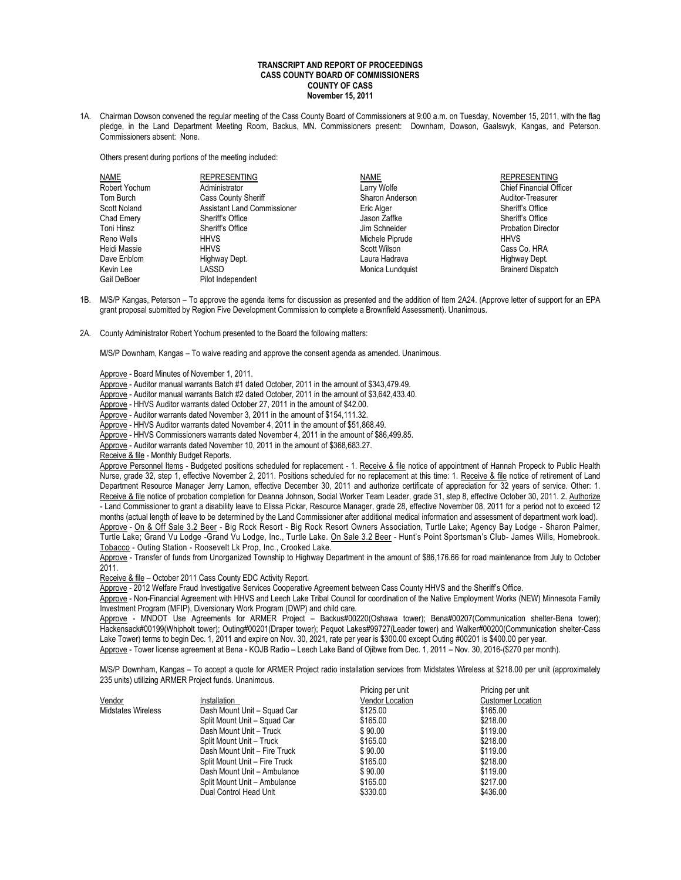## **TRANSCRIPT AND REPORT OF PROCEEDINGS CASS COUNTY BOARD OF COMMISSIONERS COUNTY OF CASS November 15, 2011**

1A. Chairman Dowson convened the regular meeting of the Cass County Board of Commissioners at 9:00 a.m. on Tuesday, November 15, 2011, with the flag pledge, in the Land Department Meeting Room, Backus, MN. Commissioners present: Downham, Dowson, Gaalswyk, Kangas, and Peterson. Commissioners absent: None.

Others present during portions of the meeting included:

| <b>NAME</b>   | <b>REPRESENTING</b>                | <b>NAME</b>      | <b>REPRESENTING</b>            |
|---------------|------------------------------------|------------------|--------------------------------|
| Robert Yochum | Administrator                      | Larry Wolfe      | <b>Chief Financial Officer</b> |
| Tom Burch     | Cass County Sheriff                | Sharon Anderson  | Auditor-Treasurer              |
| Scott Noland  | <b>Assistant Land Commissioner</b> | Eric Alger       | Sheriff's Office               |
| Chad Emery    | Sheriff's Office                   | Jason Zaffke     | Sheriff's Office               |
| Toni Hinsz    | Sheriff's Office                   | Jim Schneider    | <b>Probation Director</b>      |
| Reno Wells    | <b>HHVS</b>                        | Michele Piprude  | <b>HHVS</b>                    |
| Heidi Massie  | <b>HHVS</b>                        | Scott Wilson     | Cass Co. HRA                   |
| Dave Enblom   | Highway Dept.                      | Laura Hadrava    | Highway Dept.                  |
| Kevin Lee     | LASSD                              | Monica Lundquist | <b>Brainerd Dispatch</b>       |
| Gail DeBoer   | Pilot Indenendent                  |                  |                                |

- 1B. M/S/P Kangas, Peterson To approve the agenda items for discussion as presented and the addition of Item 2A24. (Approve letter of support for an EPA grant proposal submitted by Region Five Development Commission to complete a Brownfield Assessment). Unanimous.
- 2A. County Administrator Robert Yochum presented to the Board the following matters:

M/S/P Downham, Kangas – To waive reading and approve the consent agenda as amended. Unanimous.

Approve - Board Minutes of November 1, 2011.

- Approve Auditor manual warrants Batch #1 dated October, 2011 in the amount of \$343,479.49.
- Approve Auditor manual warrants Batch #2 dated October, 2011 in the amount of \$3,642,433.40.
- Approve HHVS Auditor warrants dated October 27, 2011 in the amount of \$42.00.
- Approve Auditor warrants dated November 3, 2011 in the amount of \$154,111.32.
- Approve HHVS Auditor warrants dated November 4, 2011 in the amount of \$51,868.49.
- Approve HHVS Commissioners warrants dated November 4, 2011 in the amount of \$86,499.85.

Approve - Auditor warrants dated November 10, 2011 in the amount of \$368,683.27.

Receive & file - Monthly Budget Reports.

Approve Personnel Items - Budgeted positions scheduled for replacement - 1. Receive & file notice of appointment of Hannah Propeck to Public Health Nurse, grade 32, step 1, effective November 2, 2011. Positions scheduled for no replacement at this time: 1. Receive & file notice of retirement of Land Department Resource Manager Jerry Lamon, effective December 30, 2011 and authorize certificate of appreciation for 32 years of service. Other: 1. Receive & file notice of probation completion for Deanna Johnson, Social Worker Team Leader, grade 31, step 8, effective October 30, 2011. 2. Authorize - Land Commissioner to grant a disability leave to Elissa Pickar, Resource Manager, grade 28, effective November 08, 2011 for a period not to exceed 12 months (actual length of leave to be determined by the Land Commissioner after additional medical information and assessment of department work load).

Approve - On & Off Sale 3.2 Beer - Big Rock Resort - Big Rock Resort Owners Association, Turtle Lake; Agency Bay Lodge - Sharon Palmer, Turtle Lake; Grand Vu Lodge -Grand Vu Lodge, Inc., Turtle Lake. On Sale 3.2 Beer - Hunt's Point Sportsman's Club- James Wills, Homebrook. Tobacco - Outing Station - Roosevelt Lk Prop, Inc., Crooked Lake.

Approve - Transfer of funds from Unorganized Township to Highway Department in the amount of \$86,176.66 for road maintenance from July to October 2011.

Receive & file – October 2011 Cass County EDC Activity Report.

Approve - 2012 Welfare Fraud Investigative Services Cooperative Agreement between Cass County HHVS and the Sheriff's Office.

Approve - Non-Financial Agreement with HHVS and Leech Lake Tribal Council for coordination of the Native Employment Works (NEW) Minnesota Family Investment Program (MFIP), Diversionary Work Program (DWP) and child care.

Approve - MNDOT Use Agreements for ARMER Project - Backus#00220(Oshawa tower); Bena#00207(Communication shelter-Bena tower); Hackensack#00199(Whipholt tower); Outing#00201(Draper tower); Pequot Lakes#99727(Leader tower) and Walker#00200(Communication shelter-Cass Lake Tower) terms to begin Dec. 1, 2011 and expire on Nov. 30, 2021, rate per year is \$300.00 except Outing #00201 is \$400.00 per year. Approve - Tower license agreement at Bena - KOJB Radio – Leech Lake Band of Ojibwe from Dec. 1, 2011 – Nov. 30, 2016-(\$270 per month).

M/S/P Downham, Kangas – To accept a quote for ARMER Project radio installation services from Midstates Wireless at \$218.00 per unit (approximately 235 units) utilizing ARMER Project funds. Unanimous.

|                           |                               | Pricing per unit       | Pricing per unit         |
|---------------------------|-------------------------------|------------------------|--------------------------|
| Vendor                    | Installation                  | <b>Vendor Location</b> | <b>Customer Location</b> |
| <b>Midstates Wireless</b> | Dash Mount Unit - Squad Car   | \$125.00               | \$165.00                 |
|                           | Split Mount Unit - Squad Car  | \$165.00               | \$218.00                 |
|                           | Dash Mount Unit - Truck       | \$90.00                | \$119.00                 |
|                           | Split Mount Unit - Truck      | \$165.00               | \$218.00                 |
|                           | Dash Mount Unit - Fire Truck  | \$90.00                | \$119.00                 |
|                           | Split Mount Unit - Fire Truck | \$165.00               | \$218.00                 |
|                           | Dash Mount Unit - Ambulance   | \$90.00                | \$119.00                 |
|                           | Split Mount Unit - Ambulance  | \$165.00               | \$217.00                 |
|                           | Dual Control Head Unit        | \$330.00               | \$436.00                 |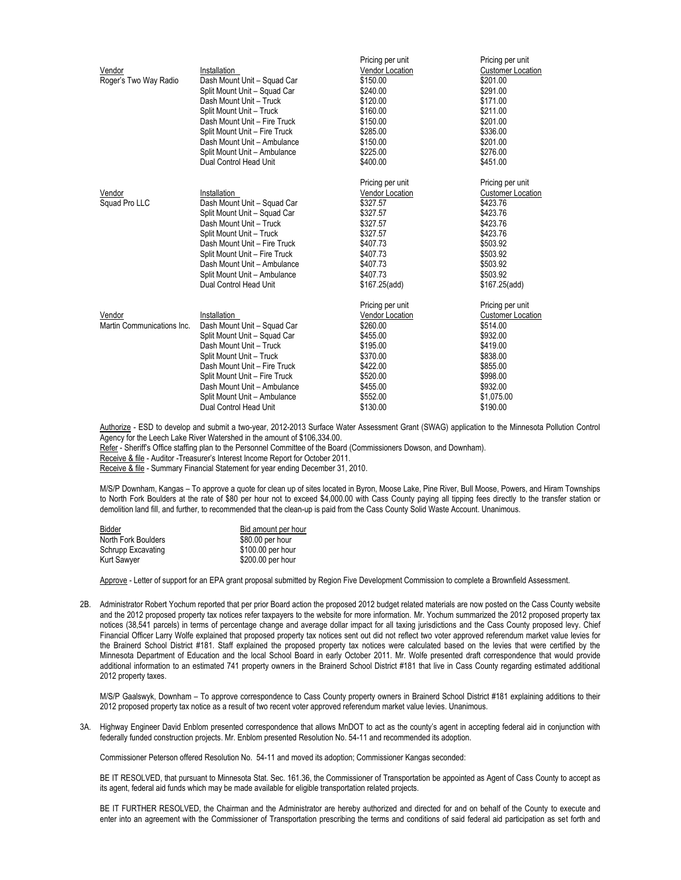|                            |                               | Pricing per unit       | Pricing per unit         |
|----------------------------|-------------------------------|------------------------|--------------------------|
| Vendor                     | Installation                  | <b>Vendor Location</b> | <b>Customer Location</b> |
| Roger's Two Way Radio      | Dash Mount Unit - Squad Car   | \$150.00               | \$201.00                 |
|                            | Split Mount Unit - Squad Car  | \$240.00               | \$291.00                 |
|                            | Dash Mount Unit - Truck       | \$120.00               | \$171.00                 |
|                            | Split Mount Unit - Truck      | \$160.00               | \$211.00                 |
|                            | Dash Mount Unit - Fire Truck  | \$150.00               | \$201.00                 |
|                            | Split Mount Unit - Fire Truck | \$285.00               | \$336.00                 |
|                            | Dash Mount Unit - Ambulance   | \$150.00               | \$201.00                 |
|                            | Split Mount Unit - Ambulance  | \$225.00               | \$276.00                 |
|                            | Dual Control Head Unit        | \$400.00               | \$451.00                 |
|                            |                               | Pricing per unit       | Pricing per unit         |
| Vendor                     | Installation                  | Vendor Location        | <b>Customer Location</b> |
| Squad Pro LLC              | Dash Mount Unit - Squad Car   | \$327.57               | \$423.76                 |
|                            | Split Mount Unit - Squad Car  | \$327.57               | \$423.76                 |
|                            | Dash Mount Unit - Truck       | \$327.57               | \$423.76                 |
|                            | Split Mount Unit - Truck      | \$327.57               | \$423.76                 |
|                            | Dash Mount Unit - Fire Truck  | \$407.73               | \$503.92                 |
|                            | Split Mount Unit - Fire Truck | \$407.73               | \$503.92                 |
|                            | Dash Mount Unit - Ambulance   | \$407.73               | \$503.92                 |
|                            | Split Mount Unit - Ambulance  | \$407.73               | \$503.92                 |
|                            | Dual Control Head Unit        | \$167.25(add)          | \$167.25(add)            |
|                            |                               | Pricing per unit       | Pricing per unit         |
| Vendor                     | Installation                  | Vendor Location        | <b>Customer Location</b> |
| Martin Communications Inc. | Dash Mount Unit - Squad Car   | \$260.00               | \$514.00                 |
|                            | Split Mount Unit - Squad Car  | \$455.00               | \$932.00                 |
|                            | Dash Mount Unit - Truck       | \$195.00               | \$419.00                 |
|                            | Split Mount Unit - Truck      | \$370.00               | \$838.00                 |
|                            | Dash Mount Unit - Fire Truck  | \$422.00               | \$855.00                 |
|                            | Split Mount Unit - Fire Truck | \$520.00               | \$998.00                 |
|                            | Dash Mount Unit - Ambulance   | \$455.00               | \$932.00                 |
|                            | Split Mount Unit - Ambulance  | \$552.00               | \$1.075.00               |
|                            | Dual Control Head Unit        | \$130.00               | \$190.00                 |

Authorize - ESD to develop and submit a two-year, 2012-2013 Surface Water Assessment Grant (SWAG) application to the Minnesota Pollution Control Agency for the Leech Lake River Watershed in the amount of \$106,334.00.

Refer - Sheriff's Office staffing plan to the Personnel Committee of the Board (Commissioners Dowson, and Downham).

Receive & file - Auditor -Treasurer's Interest Income Report for October 2011.

Receive & file - Summary Financial Statement for year ending December 31, 2010.

M/S/P Downham, Kangas – To approve a quote for clean up of sites located in Byron, Moose Lake, Pine River, Bull Moose, Powers, and Hiram Townships to North Fork Boulders at the rate of \$80 per hour not to exceed \$4,000.00 with Cass County paying all tipping fees directly to the transfer station or demolition land fill, and further, to recommended that the clean-up is paid from the Cass County Solid Waste Account. Unanimous.

| Bidder              | Bid amount per hour |
|---------------------|---------------------|
| North Fork Boulders | \$80.00 per hour    |
| Schrupp Excavating  | \$100.00 per hour   |
| <b>Kurt Sawyer</b>  | \$200.00 per hour   |

Approve - Letter of support for an EPA grant proposal submitted by Region Five Development Commission to complete a Brownfield Assessment.

2B. Administrator Robert Yochum reported that per prior Board action the proposed 2012 budget related materials are now posted on the Cass County website and the 2012 proposed property tax notices refer taxpayers to the website for more information. Mr. Yochum summarized the 2012 proposed property tax notices (38,541 parcels) in terms of percentage change and average dollar impact for all taxing jurisdictions and the Cass County proposed levy. Chief Financial Officer Larry Wolfe explained that proposed property tax notices sent out did not reflect two voter approved referendum market value levies for the Brainerd School District #181. Staff explained the proposed property tax notices were calculated based on the levies that were certified by the Minnesota Department of Education and the local School Board in early October 2011. Mr. Wolfe presented draft correspondence that would provide additional information to an estimated 741 property owners in the Brainerd School District #181 that live in Cass County regarding estimated additional 2012 property taxes.

M/S/P Gaalswyk, Downham – To approve correspondence to Cass County property owners in Brainerd School District #181 explaining additions to their 2012 proposed property tax notice as a result of two recent voter approved referendum market value levies. Unanimous.

3A. Highway Engineer David Enblom presented correspondence that allows MnDOT to act as the county's agent in accepting federal aid in conjunction with federally funded construction projects. Mr. Enblom presented Resolution No. 54-11 and recommended its adoption.

Commissioner Peterson offered Resolution No. 54-11 and moved its adoption; Commissioner Kangas seconded:

BE IT RESOLVED, that pursuant to Minnesota Stat. Sec. 161.36, the Commissioner of Transportation be appointed as Agent of Cass County to accept as its agent, federal aid funds which may be made available for eligible transportation related projects.

BE IT FURTHER RESOLVED, the Chairman and the Administrator are hereby authorized and directed for and on behalf of the County to execute and enter into an agreement with the Commissioner of Transportation prescribing the terms and conditions of said federal aid participation as set forth and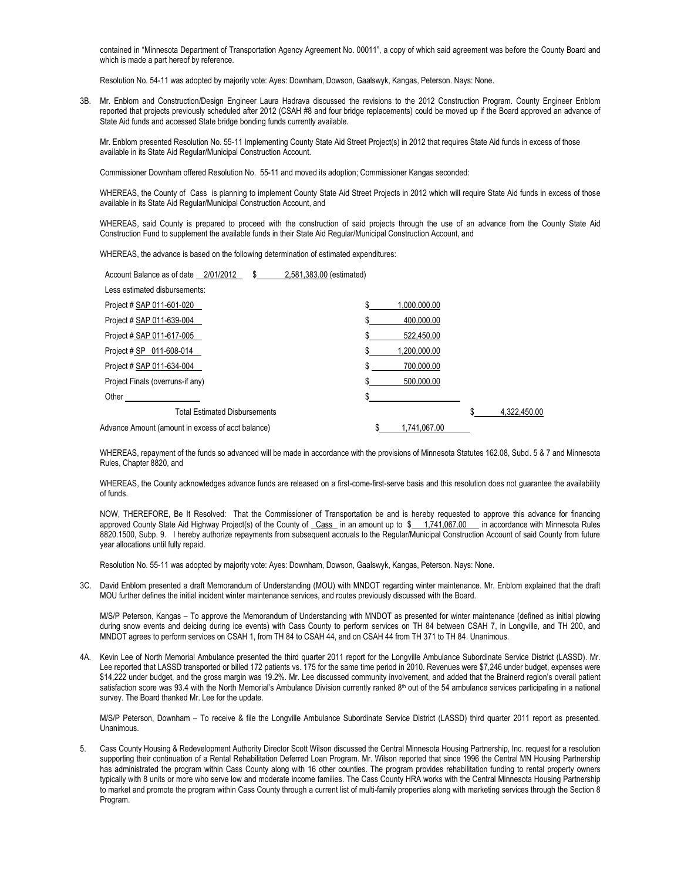contained in "Minnesota Department of Transportation Agency Agreement No. 00011", a copy of which said agreement was before the County Board and which is made a part hereof by reference.

Resolution No. 54-11 was adopted by majority vote: Ayes: Downham, Dowson, Gaalswyk, Kangas, Peterson. Nays: None.

3B. Mr. Enblom and Construction/Design Engineer Laura Hadrava discussed the revisions to the 2012 Construction Program. County Engineer Enblom reported that projects previously scheduled after 2012 (CSAH #8 and four bridge replacements) could be moved up if the Board approved an advance of State Aid funds and accessed State bridge bonding funds currently available.

Mr. Enblom presented Resolution No. 55-11 Implementing County State Aid Street Project(s) in 2012 that requires State Aid funds in excess of those available in its State Aid Regular/Municipal Construction Account.

Commissioner Downham offered Resolution No. 55-11 and moved its adoption; Commissioner Kangas seconded:

WHEREAS, the County of Cass is planning to implement County State Aid Street Projects in 2012 which will require State Aid funds in excess of those available in its State Aid Regular/Municipal Construction Account, and

WHEREAS, said County is prepared to proceed with the construction of said projects through the use of an advance from the County State Aid Construction Fund to supplement the available funds in their State Aid Regular/Municipal Construction Account, and

WHEREAS, the advance is based on the following determination of estimated expenditures:

| Account Balance as of date 2/01/2012              | 2,581,383.00 (estimated) |                    |              |
|---------------------------------------------------|--------------------------|--------------------|--------------|
| Less estimated disbursements:                     |                          |                    |              |
| Project # SAP 011-601-020                         |                          | \$<br>1.000.000.00 |              |
| Project # SAP 011-639-004                         |                          | 400.000.00         |              |
| Project # SAP 011-617-005                         |                          | 522.450.00         |              |
| Project # SP 011-608-014                          |                          | 1.200.000.00       |              |
| Project # SAP 011-634-004                         |                          | \$<br>700.000.00   |              |
| Project Finals (overruns-if any)                  |                          | 500.000.00         |              |
| Other                                             |                          |                    |              |
| <b>Total Estimated Disbursements</b>              |                          |                    | 4.322.450.00 |
| Advance Amount (amount in excess of acct balance) |                          | \$<br>1.741.067.00 |              |

WHEREAS, repayment of the funds so advanced will be made in accordance with the provisions of Minnesota Statutes 162.08, Subd. 5 & 7 and Minnesota Rules, Chapter 8820, and

WHEREAS, the County acknowledges advance funds are released on a first-come-first-serve basis and this resolution does not guarantee the availability of funds.

NOW, THEREFORE, Be It Resolved: That the Commissioner of Transportation be and is hereby requested to approve this advance for financing approved County State Aid Highway Project(s) of the County of Cass in an amount up to \$ 1,741,067.00 in accordance with Minnesota Rules 8820.1500, Subp. 9. I hereby authorize repayments from subsequent accruals to the Regular/Municipal Construction Account of said County from future year allocations until fully repaid.

Resolution No. 55-11 was adopted by majority vote: Ayes: Downham, Dowson, Gaalswyk, Kangas, Peterson. Nays: None.

3C. David Enblom presented a draft Memorandum of Understanding (MOU) with MNDOT regarding winter maintenance. Mr. Enblom explained that the draft MOU further defines the initial incident winter maintenance services, and routes previously discussed with the Board.

M/S/P Peterson, Kangas – To approve the Memorandum of Understanding with MNDOT as presented for winter maintenance (defined as initial plowing during snow events and deicing during ice events) with Cass County to perform services on TH 84 between CSAH 7, in Longville, and TH 200, and MNDOT agrees to perform services on CSAH 1, from TH 84 to CSAH 44, and on CSAH 44 from TH 371 to TH 84. Unanimous.

4A. Kevin Lee of North Memorial Ambulance presented the third quarter 2011 report for the Longville Ambulance Subordinate Service District (LASSD). Mr. Lee reported that LASSD transported or billed 172 patients vs. 175 for the same time period in 2010. Revenues were \$7,246 under budget, expenses were \$14,222 under budget, and the gross margin was 19.2%. Mr. Lee discussed community involvement, and added that the Brainerd region's overall patient satisfaction score was 93.4 with the North Memorial's Ambulance Division currently ranked 8<sup>th</sup> out of the 54 ambulance services participating in a national survey. The Board thanked Mr. Lee for the update.

M/S/P Peterson, Downham – To receive & file the Longville Ambulance Subordinate Service District (LASSD) third quarter 2011 report as presented. Unanimous.

5. Cass County Housing & Redevelopment Authority Director Scott Wilson discussed the Central Minnesota Housing Partnership, Inc. request for a resolution supporting their continuation of a Rental Rehabilitation Deferred Loan Program. Mr. Wilson reported that since 1996 the Central MN Housing Partnership has administrated the program within Cass County along with 16 other counties. The program provides rehabilitation funding to rental property owners typically with 8 units or more who serve low and moderate income families. The Cass County HRA works with the Central Minnesota Housing Partnership to market and promote the program within Cass County through a current list of multi-family properties along with marketing services through the Section 8 Program.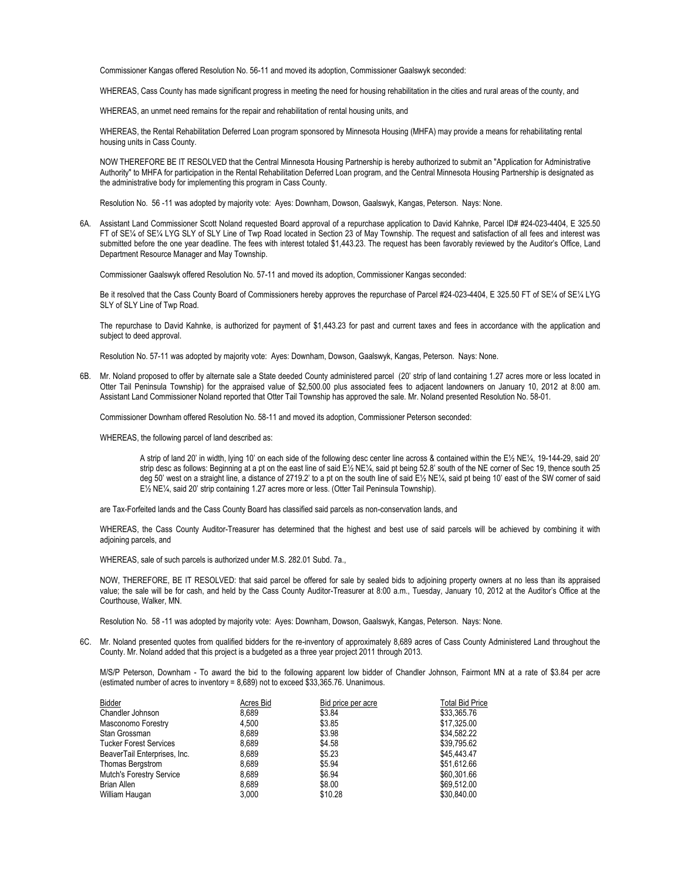Commissioner Kangas offered Resolution No. 56-11 and moved its adoption, Commissioner Gaalswyk seconded:

WHEREAS, Cass County has made significant progress in meeting the need for housing rehabilitation in the cities and rural areas of the county, and

WHEREAS, an unmet need remains for the repair and rehabilitation of rental housing units, and

WHEREAS, the Rental Rehabilitation Deferred Loan program sponsored by Minnesota Housing (MHFA) may provide a means for rehabilitating rental housing units in Cass County.

NOW THEREFORE BE IT RESOLVED that the Central Minnesota Housing Partnership is hereby authorized to submit an "Application for Administrative Authority" to MHFA for participation in the Rental Rehabilitation Deferred Loan program, and the Central Minnesota Housing Partnership is designated as the administrative body for implementing this program in Cass County.

Resolution No. 56 -11 was adopted by majority vote: Ayes: Downham, Dowson, Gaalswyk, Kangas, Peterson. Nays: None.

6A. Assistant Land Commissioner Scott Noland requested Board approval of a repurchase application to David Kahnke, Parcel ID# #24-023-4404, E 325.50 FT of SE¼ of SE¼ LYG SLY of SLY Line of Twp Road located in Section 23 of May Township. The request and satisfaction of all fees and interest was submitted before the one year deadline. The fees with interest totaled \$1,443.23. The request has been favorably reviewed by the Auditor's Office, Land Department Resource Manager and May Township.

Commissioner Gaalswyk offered Resolution No. 57-11 and moved its adoption, Commissioner Kangas seconded:

Be it resolved that the Cass County Board of Commissioners hereby approves the repurchase of Parcel #24-023-4404, E 325.50 FT of SE¼ of SE¼ LYG SLY of SLY Line of Twp Road.

The repurchase to David Kahnke, is authorized for payment of \$1,443.23 for past and current taxes and fees in accordance with the application and subject to deed approval.

Resolution No. 57-11 was adopted by majority vote: Ayes: Downham, Dowson, Gaalswyk, Kangas, Peterson. Nays: None.

6B. Mr. Noland proposed to offer by alternate sale a State deeded County administered parcel (20' strip of land containing 1.27 acres more or less located in Otter Tail Peninsula Township) for the appraised value of \$2,500.00 plus associated fees to adjacent landowners on January 10, 2012 at 8:00 am. Assistant Land Commissioner Noland reported that Otter Tail Township has approved the sale. Mr. Noland presented Resolution No. 58-01.

Commissioner Downham offered Resolution No. 58-11 and moved its adoption, Commissioner Peterson seconded:

WHEREAS, the following parcel of land described as:

A strip of land 20' in width, lying 10' on each side of the following desc center line across & contained within the E½ NE¼, 19-144-29, said 20' strip desc as follows: Beginning at a pt on the east line of said E½ NE¼, said pt being 52.8' south of the NE corner of Sec 19, thence south 25 deg 50' west on a straight line, a distance of 2719.2' to a pt on the south line of said E½ NE¼, said pt being 10' east of the SW corner of said E½ NE¼, said 20' strip containing 1.27 acres more or less. (Otter Tail Peninsula Township).

are Tax-Forfeited lands and the Cass County Board has classified said parcels as non-conservation lands, and

WHEREAS, the Cass County Auditor-Treasurer has determined that the highest and best use of said parcels will be achieved by combining it with adjoining parcels, and

WHEREAS, sale of such parcels is authorized under M.S. 282.01 Subd. 7a.,

NOW, THEREFORE, BE IT RESOLVED: that said parcel be offered for sale by sealed bids to adjoining property owners at no less than its appraised value; the sale will be for cash, and held by the Cass County Auditor-Treasurer at 8:00 a.m., Tuesday, January 10, 2012 at the Auditor's Office at the Courthouse, Walker, MN.

Resolution No. 58 -11 was adopted by majority vote: Ayes: Downham, Dowson, Gaalswyk, Kangas, Peterson. Nays: None.

6C. Mr. Noland presented quotes from qualified bidders for the re-inventory of approximately 8,689 acres of Cass County Administered Land throughout the County. Mr. Noland added that this project is a budgeted as a three year project 2011 through 2013.

M/S/P Peterson, Downham - To award the bid to the following apparent low bidder of Chandler Johnson, Fairmont MN at a rate of \$3.84 per acre (estimated number of acres to inventory = 8,689) not to exceed \$33,365.76. Unanimous.

| Bidder                          | Acres Bid | Bid price per acre | <b>Total Bid Price</b> |
|---------------------------------|-----------|--------------------|------------------------|
| Chandler Johnson                | 8.689     | \$3.84             | \$33,365.76            |
| Masconomo Forestry              | 4.500     | \$3.85             | \$17,325.00            |
| Stan Grossman                   | 8.689     | \$3.98             | \$34.582.22            |
| <b>Tucker Forest Services</b>   | 8.689     | \$4.58             | \$39.795.62            |
| BeaverTail Enterprises, Inc.    | 8.689     | \$5.23             | \$45,443.47            |
| Thomas Bergstrom                | 8.689     | \$5.94             | \$51,612.66            |
| <b>Mutch's Forestry Service</b> | 8.689     | \$6.94             | \$60,301.66            |
| <b>Brian Allen</b>              | 8.689     | \$8.00             | \$69,512.00            |
| William Haugan                  | 3.000     | \$10.28            | \$30,840.00            |